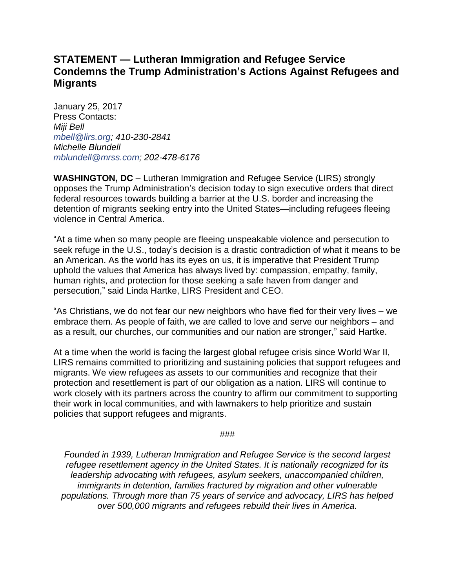## **STATEMENT — Lutheran Immigration and Refugee Service Condemns the Trump Administration's Actions Against Refugees and Migrants**

January 25, 2017 Press Contacts: *Miji Bell mbell@lirs.org; 410-230-2841 Michelle Blundell mblundell@mrss.com; 202-478-6176*

**WASHINGTON, DC** – Lutheran Immigration and Refugee Service (LIRS) strongly opposes the Trump Administration's decision today to sign executive orders that direct federal resources towards building a barrier at the U.S. border and increasing the detention of migrants seeking entry into the United States—including refugees fleeing violence in Central America.

"At a time when so many people are fleeing unspeakable violence and persecution to seek refuge in the U.S., today's decision is a drastic contradiction of what it means to be an American. As the world has its eyes on us, it is imperative that President Trump uphold the values that America has always lived by: compassion, empathy, family, human rights, and protection for those seeking a safe haven from danger and persecution," said Linda Hartke, LIRS President and CEO.

"As Christians, we do not fear our new neighbors who have fled for their very lives – we embrace them. As people of faith, we are called to love and serve our neighbors – and as a result, our churches, our communities and our nation are stronger," said Hartke.

At a time when the world is facing the largest global refugee crisis since World War II, LIRS remains committed to prioritizing and sustaining policies that support refugees and migrants. We view refugees as assets to our communities and recognize that their protection and resettlement is part of our obligation as a nation. LIRS will continue to work closely with its partners across the country to affirm our commitment to supporting their work in local communities, and with lawmakers to help prioritize and sustain policies that support refugees and migrants.

###

*Founded in 1939, Lutheran Immigration and Refugee Service is the second largest refugee resettlement agency in the United States. It is nationally recognized for its leadership advocating with refugees, asylum seekers, unaccompanied children, immigrants in detention, families fractured by migration and other vulnerable populations. Through more than 75 years of service and advocacy, LIRS has helped over 500,000 migrants and refugees rebuild their lives in America.*